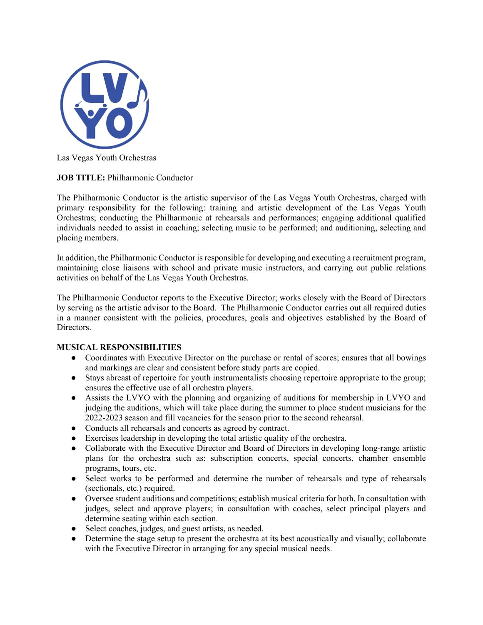

Las Vegas Youth Orchestras

## **JOB TITLE:** Philharmonic Conductor

The Philharmonic Conductor is the artistic supervisor of the Las Vegas Youth Orchestras, charged with primary responsibility for the following: training and artistic development of the Las Vegas Youth Orchestras; conducting the Philharmonic at rehearsals and performances; engaging additional qualified individuals needed to assist in coaching; selecting music to be performed; and auditioning, selecting and placing members.

In addition, the Philharmonic Conductor is responsible for developing and executing a recruitment program, maintaining close liaisons with school and private music instructors, and carrying out public relations activities on behalf of the Las Vegas Youth Orchestras.

The Philharmonic Conductor reports to the Executive Director; works closely with the Board of Directors by serving as the artistic advisor to the Board. The Philharmonic Conductor carries out all required duties in a manner consistent with the policies, procedures, goals and objectives established by the Board of Directors.

## **MUSICAL RESPONSIBILITIES**

- Coordinates with Executive Director on the purchase or rental of scores; ensures that all bowings and markings are clear and consistent before study parts are copied.
- Stays abreast of repertoire for youth instrumentalists choosing repertoire appropriate to the group; ensures the effective use of all orchestra players.
- Assists the LVYO with the planning and organizing of auditions for membership in LVYO and judging the auditions, which will take place during the summer to place student musicians for the 2022-2023 season and fill vacancies for the season prior to the second rehearsal.
- Conducts all rehearsals and concerts as agreed by contract.
- Exercises leadership in developing the total artistic quality of the orchestra.
- Collaborate with the Executive Director and Board of Directors in developing long-range artistic plans for the orchestra such as: subscription concerts, special concerts, chamber ensemble programs, tours, etc.
- Select works to be performed and determine the number of rehearsals and type of rehearsals (sectionals, etc.) required.
- Oversee student auditions and competitions; establish musical criteria for both. In consultation with judges, select and approve players; in consultation with coaches, select principal players and determine seating within each section.
- Select coaches, judges, and guest artists, as needed.
- Determine the stage setup to present the orchestra at its best acoustically and visually; collaborate with the Executive Director in arranging for any special musical needs.